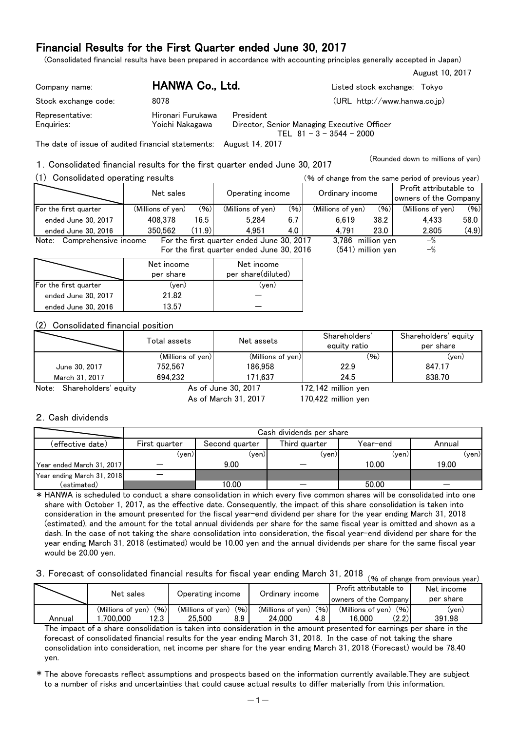(Consolidated financial results have been prepared in accordance with accounting principles generally accepted in Japan)

| Company name:        | HANWA Co., Ltd.   | Listed stock exchange: Tokyo                                              |
|----------------------|-------------------|---------------------------------------------------------------------------|
| Stock exchange code: | 8078              | (URL http://www.hanwa.co.jp)                                              |
| Representative:      | Hironari Furukawa | President                                                                 |
| Enguiries:           | Yoichi Nakagawa   | Director, Senior Managing Executive Officer<br>TEL $81 - 3 - 3544 - 2000$ |

The date of issue of audited financial statements: August 14, 2017

1.Consolidated financial results for the first quarter ended June 30, 2017

Consolidated operating results (% of change from the same period of previous year)

|                                                                  | Net sales         |        | Operating income                          |      | Ordinary income   |      | Profit attributable to<br>owners of the Company |       |  |
|------------------------------------------------------------------|-------------------|--------|-------------------------------------------|------|-------------------|------|-------------------------------------------------|-------|--|
| For the first quarter                                            | (Millions of yen) | (96)   | (Millions of yen)                         | (96) | (Millions of yen) | (96) | (Millions of yen)                               | (96)  |  |
| ended June 30, 2017                                              | 408,378           | 16.5   | 5.284                                     | 6.7  | 6.619             | 38.2 | 4.433                                           | 58.0  |  |
| ended June 30, 2016                                              | 350.562           | (11.9) | 4.951                                     | 4.0  | 4.791             | 23.0 | 2.805                                           | (4.9) |  |
| Note:<br>Comprehensive income                                    |                   |        | For the first quarter ended June 30, 2017 |      | 3,786 million yen |      | $-$ %                                           |       |  |
| $(541)$ million yen<br>For the first quarter ended June 30, 2016 |                   |        |                                           |      |                   |      |                                                 |       |  |
|                                                                  |                   |        |                                           |      |                   |      |                                                 |       |  |

|                       | Net income<br>per share | Net income<br>per share(diluted) |
|-----------------------|-------------------------|----------------------------------|
| For the first quarter | (yen)                   | (ven)                            |
| ended June 30, 2017   | 21.82                   |                                  |
| ended June 30, 2016   | 13.57                   |                                  |

#### (2) Consolidated financial position

|                               | Total assets      | Net assets          | Shareholders'<br>equity ratio | Shareholders' equity<br>per share |
|-------------------------------|-------------------|---------------------|-------------------------------|-----------------------------------|
|                               | (Millions of yen) | (Millions of yen)   | (96)                          | $(\mathsf{ven})$                  |
| June 30, 2017                 | 752.567           | 186.958             | 22.9                          | 847.17                            |
| March 31, 2017                | 694.232           | 171.637             | 24.5                          | 838.70                            |
| Shareholders' equity<br>Note: |                   | As of June 30, 2017 | 172,142 million yen           |                                   |

As of March 31, 2017

170,422 million yen

August 10, 2017

(Rounded down to millions of yen)

#### 2.Cash dividends

|                            |                  | Cash dividends per share |               |          |        |  |  |  |  |  |  |
|----------------------------|------------------|--------------------------|---------------|----------|--------|--|--|--|--|--|--|
| (effective date)           | First quarter    | Second quarter           | Third quarter | Year–end | Annual |  |  |  |  |  |  |
|                            | $(\mathsf{ven})$ | $(\mathsf{ven})$         | (yen)         | (ven)    | (ven)  |  |  |  |  |  |  |
| Year ended March 31, 2017  |                  | 9.00                     |               | 10.00    | 19.00  |  |  |  |  |  |  |
| Year ending March 31, 2018 |                  |                          |               |          |        |  |  |  |  |  |  |
| (estimated)                |                  | 10.00                    |               | 50.00    |        |  |  |  |  |  |  |

\* HANWA is scheduled to conduct a share consolidation in which every five common shares will be consolidated into one share with October 1, 2017, as the effective date. Consequently, the impact of this share consolidation is taken into consideration in the amount presented for the fiscal year-end dividend per share for the year ending March 31, 2018 (estimated), and the amount for the total annual dividends per share for the same fiscal year is omitted and shown as a dash. In the case of not taking the share consolidation into consideration, the fiscal year-end dividend per share for the year ending March 31, 2018 (estimated) would be 10.00 yen and the annual dividends per share for the same fiscal year would be 20.00 yen.

# 3. Forecast of consolidated financial results for fiscal year ending March 31, 2018 (% of change from previous year)

|        | $\sim$ 70 OI GHAIRE ITUIT DI EVIOUS VEAT. |                           |                           |                           |            |  |  |  |  |  |
|--------|-------------------------------------------|---------------------------|---------------------------|---------------------------|------------|--|--|--|--|--|
|        | Net sales                                 | Operating income          |                           | Profit attributable to    | Net income |  |  |  |  |  |
|        |                                           |                           | Ordinarv income           | owners of the Company     | per share  |  |  |  |  |  |
|        | (96)<br>(Millions of ven)                 | (96)<br>(Millions of ven) | (96)<br>(Millions of ven) | (96)<br>(Millions of ven) | (yen)      |  |  |  |  |  |
| Annual | 12.3<br>700.000                           | 8.9<br>25.500             | 24.000<br>4.8             | (2.2)<br>16.000           | 391.98     |  |  |  |  |  |

The impact of a share consolidation is taken into consideration in the amount presented for earnings per share in the forecast of consolidated financial results for the year ending March 31, 2018. In the case of not taking the share consolidation into consideration, net income per share for the year ending March 31, 2018 (Forecast) would be 78.40 yen.

\* The above forecasts reflect assumptions and prospects based on the information currently available.They are subject to a number of risks and uncertainties that could cause actual results to differ materially from this information.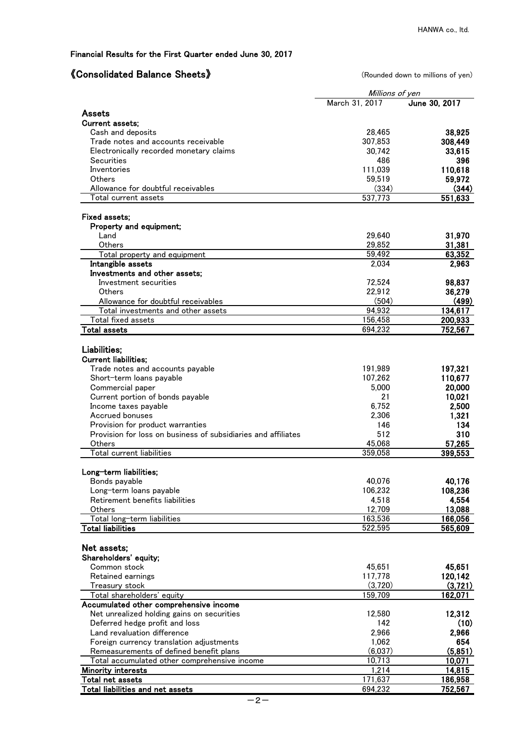## 《Consolidated Balance Sheets》 (Rounded down to millions of yen)

|                                                               | Millions of yen |                   |
|---------------------------------------------------------------|-----------------|-------------------|
|                                                               | March 31, 2017  | June 30, 2017     |
| Assets                                                        |                 |                   |
| <b>Current assets:</b>                                        |                 |                   |
| Cash and deposits                                             | 28,465          | 38,925            |
| Trade notes and accounts receivable                           | 307,853         | 308,449           |
| Electronically recorded monetary claims                       | 30,742          | 33,615            |
| <b>Securities</b>                                             | 486             | 396               |
| Inventories                                                   | 111,039         | 110,618           |
| Others                                                        | 59,519          | 59,972            |
| Allowance for doubtful receivables                            | (334)           | (344)             |
| Total current assets                                          | 537,773         | 551,633           |
| Fixed assets;                                                 |                 |                   |
| Property and equipment;                                       |                 |                   |
| Land                                                          | 29,640          | 31,970            |
| Others                                                        | 29,852          | 31,381            |
| Total property and equipment                                  | 59,492          | 63,352            |
| Intangible assets                                             | 2,034           | 2,963             |
| Investments and other assets;                                 |                 |                   |
| Investment securities                                         | 72,524          | 98,837            |
| Others                                                        | 22,912          | 36,279            |
| Allowance for doubtful receivables                            | (504)           | (499)             |
| Total investments and other assets                            | 94,932          | 134,617           |
| Total fixed assets                                            | 156,458         | 200,933           |
| <b>Total assets</b>                                           | 694,232         | 752,567           |
| Liabilities;                                                  |                 |                   |
| <b>Current liabilities;</b>                                   |                 |                   |
| Trade notes and accounts payable                              | 191,989         | 197,321           |
| Short-term loans payable                                      | 107,262         | 110,677           |
| Commercial paper                                              | 5,000           | 20,000            |
| Current portion of bonds payable                              | 21              | 10,021            |
| Income taxes payable                                          | 6,752           | 2,500             |
| Accrued bonuses                                               | 2,306           | 1,321             |
| Provision for product warranties                              | 146             | 134               |
| Provision for loss on business of subsidiaries and affiliates | 512             | 310               |
| Others                                                        | 45,068          | 57,265            |
| <b>Total current liabilities</b>                              | 359,058         | 399,553           |
|                                                               |                 |                   |
| Long-term liabilities:                                        | 40,076          | 40,176            |
| Bonds payable<br>Long-term loans payable                      | 106,232         | 108,236           |
| Retirement benefits liabilities                               | 4,518           | 4,554             |
| Others                                                        | 12,709          | 13,088            |
| Total long-term liabilities                                   | 163,536         | 166,056           |
| <b>Total liabilities</b>                                      | 522,595         | 565,609           |
|                                                               |                 |                   |
| Net assets;                                                   |                 |                   |
| Shareholders' equity;                                         |                 |                   |
| Common stock                                                  | 45,651          | 45,651            |
| Retained earnings                                             | 117,778         | 120,142           |
| Treasury stock                                                | (3,720)         | (3,721)           |
| Total shareholders' equity                                    | 159,709         | 162,071           |
| Accumulated other comprehensive income                        |                 |                   |
| Net unrealized holding gains on securities                    | 12,580          | 12,312            |
| Deferred hedge profit and loss                                | 142             | (10)              |
| Land revaluation difference                                   | 2,966           | 2,966             |
| Foreign currency translation adjustments                      | 1,062           | 654               |
| Remeasurements of defined benefit plans                       | (6,037)         | (5,851)           |
| Total accumulated other comprehensive income                  | 10,713<br>1,214 | 10,071            |
| <b>Minority interests</b><br>Total ne <u>t assets</u>         | 171,637         | 14,815<br>186,958 |
| Total liabilities and net assets                              | 694,232         | 752,567           |
|                                                               |                 |                   |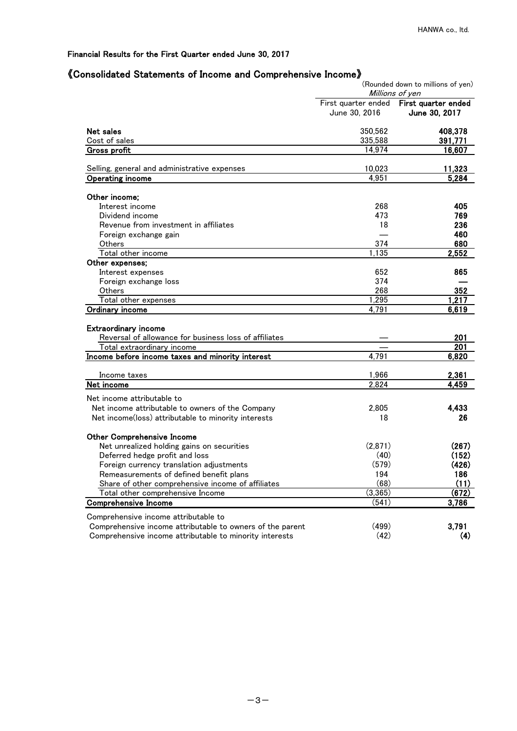## 《Consolidated Statements of Income and Comprehensive Income》

|                                                                                                   |                                      | (Rounded down to millions of yen)<br>Millions of yen |
|---------------------------------------------------------------------------------------------------|--------------------------------------|------------------------------------------------------|
|                                                                                                   | First quarter ended<br>June 30, 2016 | First quarter ended<br>June 30, 2017                 |
| Net sales                                                                                         | 350,562                              | 408,378                                              |
| Cost of sales                                                                                     | 335,588                              | 391,771                                              |
| <b>Gross profit</b>                                                                               | 14,974                               | 16,607                                               |
| Selling, general and administrative expenses                                                      | 10,023                               | 11,323                                               |
| <b>Operating income</b>                                                                           | 4,951                                | 5,284                                                |
|                                                                                                   |                                      |                                                      |
| Other income;                                                                                     |                                      |                                                      |
| Interest income                                                                                   | 268                                  | 405                                                  |
| Dividend income                                                                                   | 473                                  | 769                                                  |
| Revenue from investment in affiliates                                                             | 18                                   | 236                                                  |
| Foreign exchange gain                                                                             |                                      | 460                                                  |
| Others                                                                                            | 374                                  | 680                                                  |
| Total other income                                                                                | 1,135                                | 2,552                                                |
| Other expenses;                                                                                   |                                      |                                                      |
| Interest expenses                                                                                 | 652                                  | 865                                                  |
| Foreign exchange loss                                                                             | 374                                  |                                                      |
| Others                                                                                            | 268                                  | 352                                                  |
| Total other expenses                                                                              | 1,295                                | 1,217                                                |
| <b>Ordinary income</b>                                                                            | 4,791                                | 6,619                                                |
| <b>Extraordinary income</b>                                                                       |                                      |                                                      |
| Reversal of allowance for business loss of affiliates                                             |                                      | 201                                                  |
| Total extraordinary income                                                                        |                                      | 201                                                  |
| Income before income taxes and minority interest                                                  | 4,791                                | 6,820                                                |
|                                                                                                   |                                      |                                                      |
| Income taxes                                                                                      | 1,966                                | 2,361                                                |
| Net income                                                                                        | 2,824                                | 4,459                                                |
| Net income attributable to                                                                        |                                      |                                                      |
| Net income attributable to owners of the Company                                                  | 2,805                                | 4,433                                                |
| Net income(loss) attributable to minority interests                                               | 18                                   | 26                                                   |
|                                                                                                   |                                      |                                                      |
| <b>Other Comprehensive Income</b>                                                                 |                                      |                                                      |
| Net unrealized holding gains on securities                                                        | (2,871)                              | (267)                                                |
| Deferred hedge profit and loss                                                                    | (40)                                 | (152)                                                |
| Foreign currency translation adjustments                                                          | (579)                                | (426)                                                |
| Remeasurements of defined benefit plans                                                           | 194                                  | 186                                                  |
| Share of other comprehensive income of affiliates                                                 | (68)                                 | (11)                                                 |
| Total other comprehensive Income                                                                  | (3, 365)                             | (672)                                                |
| <b>Comprehensive Income</b>                                                                       | (541)                                | 3,786                                                |
|                                                                                                   |                                      |                                                      |
| Comprehensive income attributable to<br>Comprehensive income attributable to owners of the parent | (499)                                | 3,791                                                |
| Comprehensive income attributable to minority interests                                           | (42)                                 | (4)                                                  |
|                                                                                                   |                                      |                                                      |